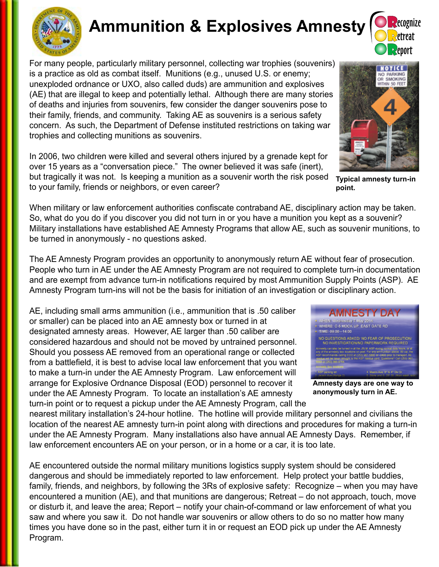

# **Ammunition & Explosives Amnesty**

For many people, particularly military personnel, collecting war trophies (souvenirs) is a practice as old as combat itself. Munitions (e.g., unused U.S. or enemy; unexploded ordnance or UXO, also called duds) are ammunition and explosives (AE) that are illegal to keep and potentially lethal. Although there are many stories of deaths and injuries from souvenirs, few consider the danger souvenirs pose to their family, friends, and community. Taking AE as souvenirs is a serious safety concern. As such, the Department of Defense instituted restrictions on taking war trophies and collecting munitions as souvenirs.

In 2006, two children were killed and several others injured by a grenade kept for over 15 years as a "conversation piece." The owner believed it was safe (inert), but tragically it was not. Is keeping a munition as a souvenir worth the risk posed to your family, friends or neighbors, or even career?

When military or law enforcement authorities confiscate contraband AE, disciplinary action may be taken. So, what do you do if you discover you did not turn in or you have a munition you kept as a souvenir? Military installations have established AE Amnesty Programs that allow AE, such as souvenir munitions, to be turned in anonymously - no questions asked.

The AE Amnesty Program provides an opportunity to anonymously return AE without fear of prosecution. People who turn in AE under the AE Amnesty Program are not required to complete turn-in documentation and are exempt from advance turn-in notifications required by most Ammunition Supply Points (ASP). AE Amnesty Program turn-ins will not be the basis for initiation of an investigation or disciplinary action.

AE, including small arms ammunition (i.e., ammunition that is .50 caliber or smaller) can be placed into an AE amnesty box or turned in at designated amnesty areas. However, AE larger than .50 caliber are considered hazardous and should not be moved by untrained personnel. Should you possess AE removed from an operational range or collected from a battlefield, it is best to advise local law enforcement that you want to make a turn-in under the AE Amnesty Program. Law enforcement will arrange for Explosive Ordnance Disposal (EOD) personnel to recover it under the AE Amnesty Program. To locate an installation's AE amnesty turn-in point or to request a pickup under the AE Amnesty Program, call the

nearest military installation's 24-hour hotline. The hotline will provide military personnel and civilians the location of the nearest AE amnesty turn-in point along with directions and procedures for making a turn-in under the AE Amnesty Program. Many installations also have annual AE Amnesty Days. Remember, if law enforcement encounters AE on your person, or in a home or a car, it is too late.

AE encountered outside the normal military munitions logistics supply system should be considered dangerous and should be immediately reported to law enforcement. Help protect your battle buddies, family, friends, and neighbors, by following the 3Rs of explosive safety: Recognize – when you may have encountered a munition (AE), and that munitions are dangerous; Retreat – do not approach, touch, move or disturb it, and leave the area; Report – notify your chain-of-command or law enforcement of what you saw and where you saw it. Do not handle war souvenirs or allow others to do so no matter how many times you have done so in the past, either turn it in or request an EOD pick up under the AE Amnesty Program.

**Typical amnesty turn-in point.**



**anonymously turn in AE.**